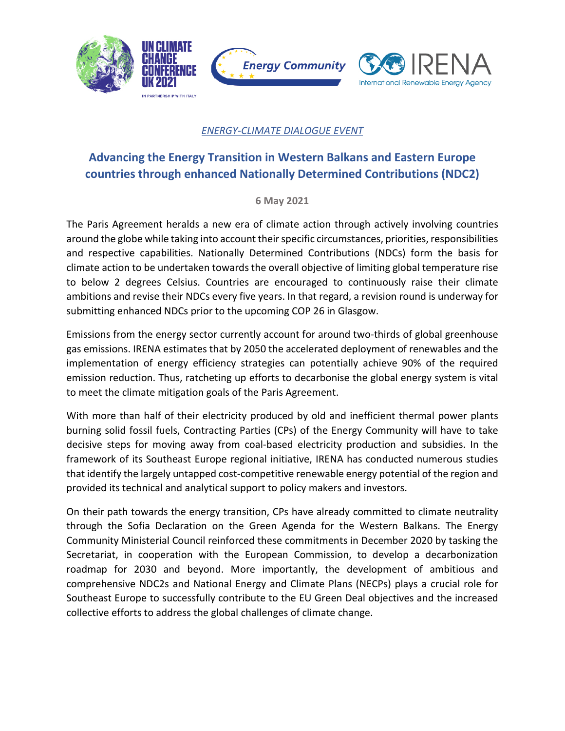

## *ENERGY-CLIMATE DIALOGUE EVENT*

# **Advancing the Energy Transition in Western Balkans and Eastern Europe countries through enhanced Nationally Determined Contributions (NDC2)**

### **6 May 2021**

The Paris Agreement heralds a new era of climate action through actively involving countries around the globe while taking into account their specific circumstances, priorities, responsibilities and respective capabilities. Nationally Determined Contributions (NDCs) form the basis for climate action to be undertaken towards the overall objective of limiting global temperature rise to below 2 degrees Celsius. Countries are encouraged to continuously raise their climate ambitions and revise their NDCs every five years. In that regard, a revision round is underway for submitting enhanced NDCs prior to the upcoming COP 26 in Glasgow.

Emissions from the energy sector currently account for around two-thirds of global greenhouse gas emissions. IRENA estimates that by 2050 the accelerated deployment of renewables and the implementation of energy efficiency strategies can potentially achieve 90% of the required emission reduction. Thus, ratcheting up efforts to decarbonise the global energy system is vital to meet the climate mitigation goals of the Paris Agreement.

With more than half of their electricity produced by old and inefficient thermal power plants burning solid fossil fuels, Contracting Parties (CPs) of the Energy Community will have to take decisive steps for moving away from coal-based electricity production and subsidies. In the framework of its Southeast Europe regional initiative, IRENA has conducted numerous studies that identify the largely untapped cost-competitive renewable energy potential of the region and provided its technical and analytical support to policy makers and investors.

On their path towards the energy transition, CPs have already committed to climate neutrality through the Sofia Declaration on the Green Agenda for the Western Balkans. The Energy Community Ministerial Council reinforced these commitments in December 2020 by tasking the Secretariat, in cooperation with the European Commission, to develop a decarbonization roadmap for 2030 and beyond. More importantly, the development of ambitious and comprehensive NDC2s and National Energy and Climate Plans (NECPs) plays a crucial role for Southeast Europe to successfully contribute to the EU Green Deal objectives and the increased collective efforts to address the global challenges of climate change.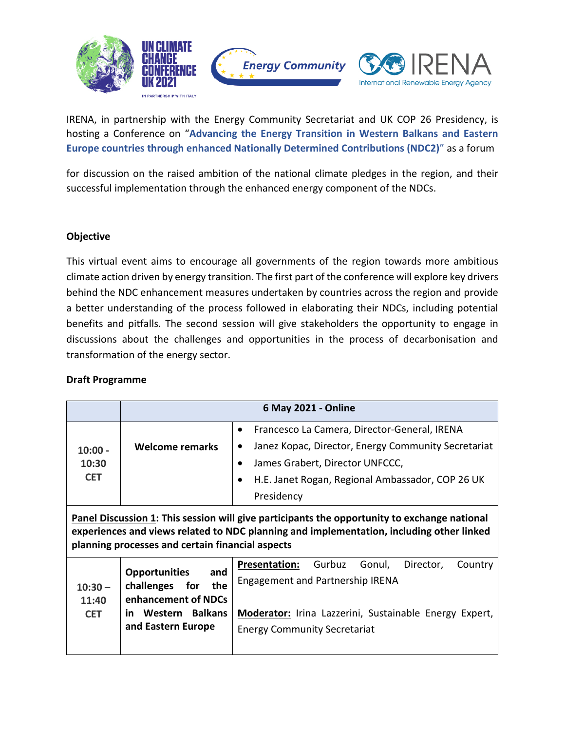

IRENA, in partnership with the Energy Community Secretariat and UK COP 26 Presidency, is hosting a Conference on "**Advancing the Energy Transition in Western Balkans and Eastern Europe countries through enhanced Nationally Determined Contributions (NDC2)**" as a forum

for discussion on the raised ambition of the national climate pledges in the region, and their successful implementation through the enhanced energy component of the NDCs.

### **Objective**

This virtual event aims to encourage all governments of the region towards more ambitious climate action driven by energy transition. The first part of the conference will explore key drivers behind the NDC enhancement measures undertaken by countries across the region and provide a better understanding of the process followed in elaborating their NDCs, including potential benefits and pitfalls. The second session will give stakeholders the opportunity to engage in discussions about the challenges and opportunities in the process of decarbonisation and transformation of the energy sector.

### **Draft Programme**

|                                                                                                                                                                                                                                              | 6 May 2021 - Online                                                                                                            |                                                                                                                                                                                                                                         |  |  |  |
|----------------------------------------------------------------------------------------------------------------------------------------------------------------------------------------------------------------------------------------------|--------------------------------------------------------------------------------------------------------------------------------|-----------------------------------------------------------------------------------------------------------------------------------------------------------------------------------------------------------------------------------------|--|--|--|
| $10:00 -$<br>10:30<br><b>CET</b>                                                                                                                                                                                                             | Welcome remarks                                                                                                                | Francesco La Camera, Director-General, IRENA<br>٠<br>Janez Kopac, Director, Energy Community Secretariat<br>James Grabert, Director UNFCCC,<br>$\bullet$<br>H.E. Janet Rogan, Regional Ambassador, COP 26 UK<br>$\bullet$<br>Presidency |  |  |  |
| Panel Discussion 1: This session will give participants the opportunity to exchange national<br>experiences and views related to NDC planning and implementation, including other linked<br>planning processes and certain financial aspects |                                                                                                                                |                                                                                                                                                                                                                                         |  |  |  |
| $10:30 -$<br>11:40<br><b>CET</b>                                                                                                                                                                                                             | <b>Opportunities</b><br>and<br>challenges<br>for<br>the<br>enhancement of NDCs<br>Western Balkans<br>in.<br>and Eastern Europe | Gurbuz<br>Gonul,<br><b>Presentation:</b><br>Director,<br>Country<br><b>Engagement and Partnership IRENA</b><br>Moderator: Irina Lazzerini, Sustainable Energy Expert,<br><b>Energy Community Secretariat</b>                            |  |  |  |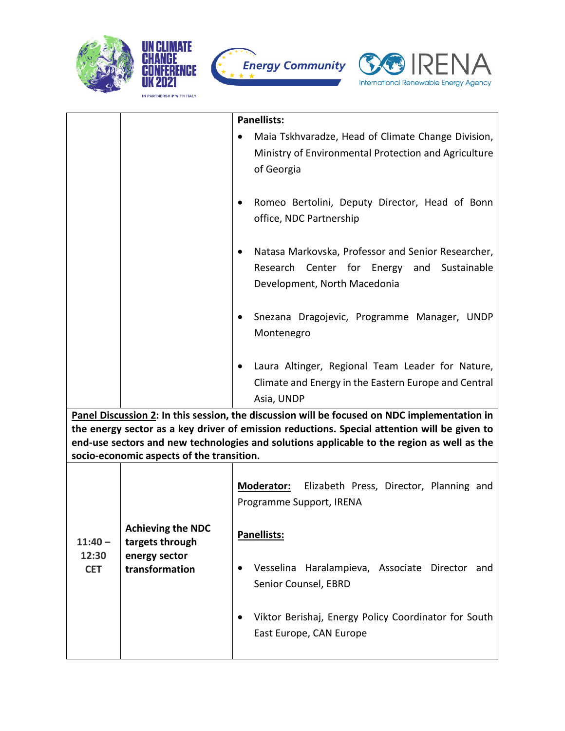







|                                                                                                                                                                                                                                                                                                                                         |                                                                                | Panellists:                                                                                                                            |  |  |  |
|-----------------------------------------------------------------------------------------------------------------------------------------------------------------------------------------------------------------------------------------------------------------------------------------------------------------------------------------|--------------------------------------------------------------------------------|----------------------------------------------------------------------------------------------------------------------------------------|--|--|--|
|                                                                                                                                                                                                                                                                                                                                         |                                                                                | Maia Tskhvaradze, Head of Climate Change Division,<br>Ministry of Environmental Protection and Agriculture<br>of Georgia               |  |  |  |
|                                                                                                                                                                                                                                                                                                                                         |                                                                                | Romeo Bertolini, Deputy Director, Head of Bonn<br>office, NDC Partnership                                                              |  |  |  |
|                                                                                                                                                                                                                                                                                                                                         |                                                                                | Natasa Markovska, Professor and Senior Researcher,<br>Research Center for Energy<br>Sustainable<br>and<br>Development, North Macedonia |  |  |  |
|                                                                                                                                                                                                                                                                                                                                         |                                                                                | Snezana Dragojevic, Programme Manager, UNDP<br>Montenegro                                                                              |  |  |  |
|                                                                                                                                                                                                                                                                                                                                         |                                                                                | Laura Altinger, Regional Team Leader for Nature,<br>Climate and Energy in the Eastern Europe and Central<br>Asia, UNDP                 |  |  |  |
| Panel Discussion 2: In this session, the discussion will be focused on NDC implementation in<br>the energy sector as a key driver of emission reductions. Special attention will be given to<br>end-use sectors and new technologies and solutions applicable to the region as well as the<br>socio-economic aspects of the transition. |                                                                                |                                                                                                                                        |  |  |  |
| $11:40 -$<br>12:30<br><b>CET</b>                                                                                                                                                                                                                                                                                                        | <b>Achieving the NDC</b><br>targets through<br>energy sector<br>transformation | Moderator: Elizabeth Press, Director, Planning and<br>Programme Support, IRENA                                                         |  |  |  |
|                                                                                                                                                                                                                                                                                                                                         |                                                                                | Panellists:                                                                                                                            |  |  |  |
|                                                                                                                                                                                                                                                                                                                                         |                                                                                | Vesselina Haralampieva, Associate Director and<br>Senior Counsel, EBRD                                                                 |  |  |  |
|                                                                                                                                                                                                                                                                                                                                         |                                                                                | Viktor Berishaj, Energy Policy Coordinator for South<br>East Europe, CAN Europe                                                        |  |  |  |